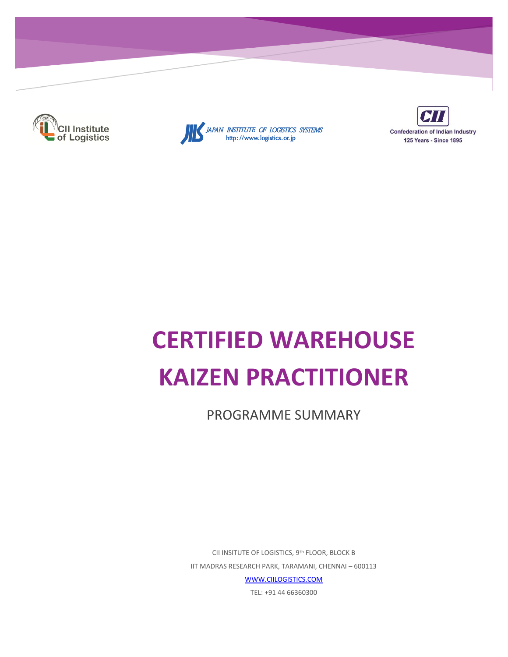





# **CERTIFIED WAREHOUSE KAIZEN PRACTITIONER**

PROGRAMME SUMMARY

CII INSITUTE OF LOGISTICS, 9th FLOOR, BLOCK B IIT MADRAS RESEARCH PARK, TARAMANI, CHENNAI - 600113 **WWW.CIILOGISTICS.COM** 

TEL: +91 44 66360300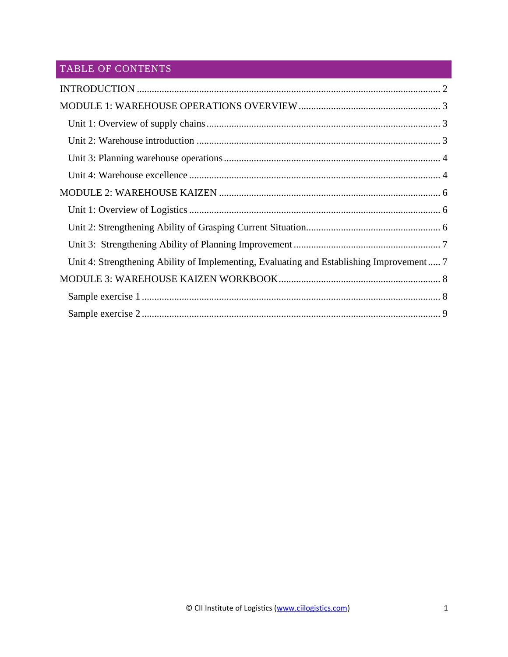# TABLE OF CONTENTS

| Unit 4: Strengthening Ability of Implementing, Evaluating and Establishing Improvement 7 |  |
|------------------------------------------------------------------------------------------|--|
|                                                                                          |  |
|                                                                                          |  |
|                                                                                          |  |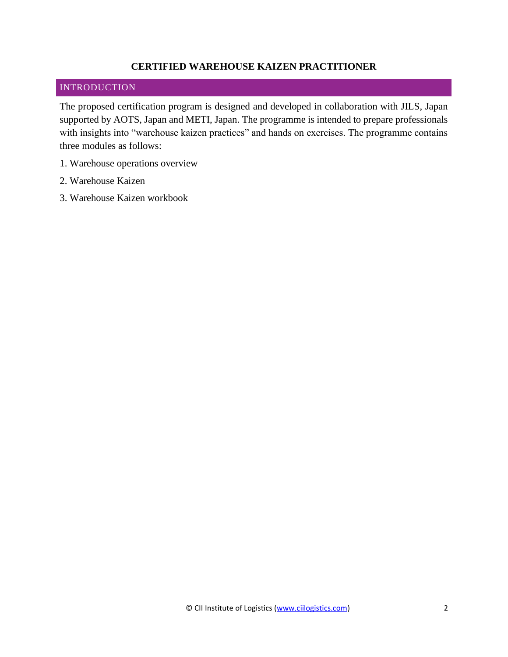### **CERTIFIED WAREHOUSE KAIZEN PRACTITIONER**

# <span id="page-2-0"></span>INTRODUCTION

The proposed certification program is designed and developed in collaboration with JILS, Japan supported by AOTS, Japan and METI, Japan. The programme is intended to prepare professionals with insights into "warehouse kaizen practices" and hands on exercises. The programme contains three modules as follows:

- 1. Warehouse operations overview
- 2. Warehouse Kaizen
- <span id="page-2-1"></span>3. Warehouse Kaizen workbook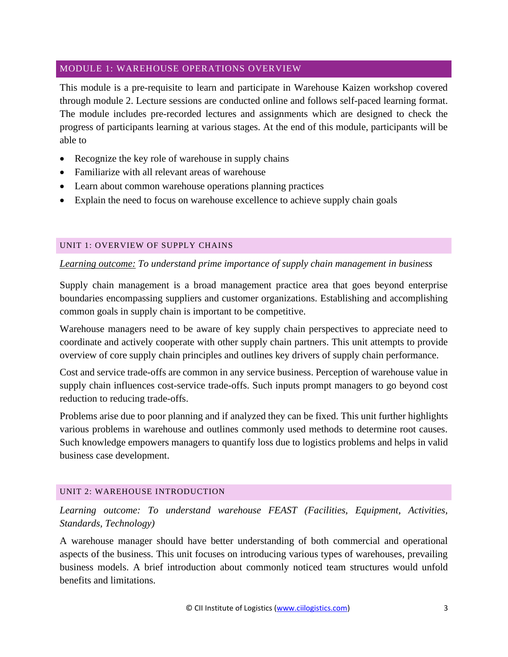# MODULE 1: WAREHOUSE OPERATIONS OVERVIEW

This module is a pre-requisite to learn and participate in Warehouse Kaizen workshop covered through module 2. Lecture sessions are conducted online and follows self-paced learning format. The module includes pre-recorded lectures and assignments which are designed to check the progress of participants learning at various stages. At the end of this module, participants will be able to

- Recognize the key role of warehouse in supply chains
- Familiarize with all relevant areas of warehouse
- Learn about common warehouse operations planning practices
- Explain the need to focus on warehouse excellence to achieve supply chain goals

#### <span id="page-3-0"></span>UNIT 1: OVERVIEW OF SUPPLY CHAINS

#### *Learning outcome: To understand prime importance of supply chain management in business*

Supply chain management is a broad management practice area that goes beyond enterprise boundaries encompassing suppliers and customer organizations. Establishing and accomplishing common goals in supply chain is important to be competitive.

Warehouse managers need to be aware of key supply chain perspectives to appreciate need to coordinate and actively cooperate with other supply chain partners. This unit attempts to provide overview of core supply chain principles and outlines key drivers of supply chain performance.

Cost and service trade-offs are common in any service business. Perception of warehouse value in supply chain influences cost-service trade-offs. Such inputs prompt managers to go beyond cost reduction to reducing trade-offs.

Problems arise due to poor planning and if analyzed they can be fixed. This unit further highlights various problems in warehouse and outlines commonly used methods to determine root causes. Such knowledge empowers managers to quantify loss due to logistics problems and helps in valid business case development.

#### <span id="page-3-1"></span>UNIT 2: WAREHOUSE INTRODUCTION

*Learning outcome: To understand warehouse FEAST (Facilities, Equipment, Activities, Standards, Technology)* 

A warehouse manager should have better understanding of both commercial and operational aspects of the business. This unit focuses on introducing various types of warehouses, prevailing business models. A brief introduction about commonly noticed team structures would unfold benefits and limitations.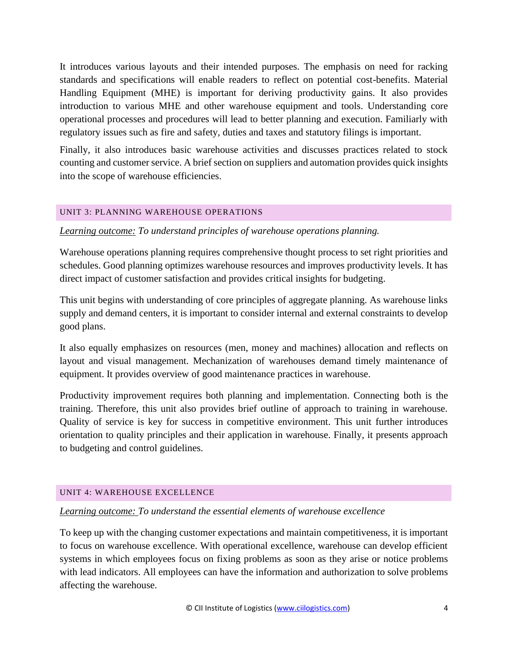It introduces various layouts and their intended purposes. The emphasis on need for racking standards and specifications will enable readers to reflect on potential cost-benefits. Material Handling Equipment (MHE) is important for deriving productivity gains. It also provides introduction to various MHE and other warehouse equipment and tools. Understanding core operational processes and procedures will lead to better planning and execution. Familiarly with regulatory issues such as fire and safety, duties and taxes and statutory filings is important.

Finally, it also introduces basic warehouse activities and discusses practices related to stock counting and customer service. A brief section on suppliers and automation provides quick insights into the scope of warehouse efficiencies.

#### <span id="page-4-0"></span>UNIT 3: PLANNING WAREHOUSE OPERATIONS

#### *Learning outcome: To understand principles of warehouse operations planning.*

Warehouse operations planning requires comprehensive thought process to set right priorities and schedules. Good planning optimizes warehouse resources and improves productivity levels. It has direct impact of customer satisfaction and provides critical insights for budgeting.

This unit begins with understanding of core principles of aggregate planning. As warehouse links supply and demand centers, it is important to consider internal and external constraints to develop good plans.

It also equally emphasizes on resources (men, money and machines) allocation and reflects on layout and visual management. Mechanization of warehouses demand timely maintenance of equipment. It provides overview of good maintenance practices in warehouse.

Productivity improvement requires both planning and implementation. Connecting both is the training. Therefore, this unit also provides brief outline of approach to training in warehouse. Quality of service is key for success in competitive environment. This unit further introduces orientation to quality principles and their application in warehouse. Finally, it presents approach to budgeting and control guidelines.

#### <span id="page-4-1"></span>UNIT 4: WAREHOUSE EXCELLENCE

#### *Learning outcome: To understand the essential elements of warehouse excellence*

To keep up with the changing customer expectations and maintain competitiveness, it is important to focus on warehouse excellence. With operational excellence, warehouse can develop efficient systems in which employees focus on fixing problems as soon as they arise or notice problems with lead indicators. All employees can have the information and authorization to solve problems affecting the warehouse.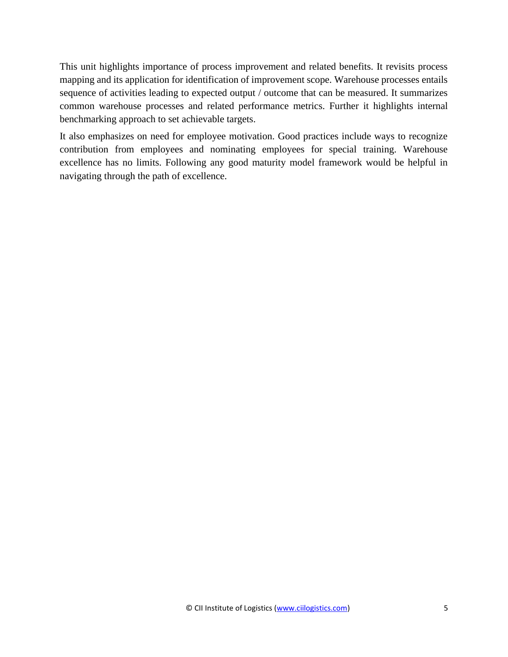This unit highlights importance of process improvement and related benefits. It revisits process mapping and its application for identification of improvement scope. Warehouse processes entails sequence of activities leading to expected output / outcome that can be measured. It summarizes common warehouse processes and related performance metrics. Further it highlights internal benchmarking approach to set achievable targets.

It also emphasizes on need for employee motivation. Good practices include ways to recognize contribution from employees and nominating employees for special training. Warehouse excellence has no limits. Following any good maturity model framework would be helpful in navigating through the path of excellence.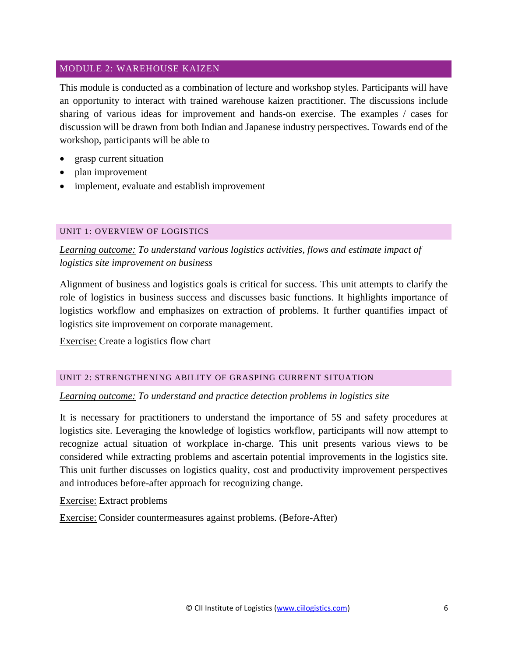#### <span id="page-6-0"></span>MODULE 2: WAREHOUSE KAIZEN

This module is conducted as a combination of lecture and workshop styles. Participants will have an opportunity to interact with trained warehouse kaizen practitioner. The discussions include sharing of various ideas for improvement and hands-on exercise. The examples / cases for discussion will be drawn from both Indian and Japanese industry perspectives. Towards end of the workshop, participants will be able to

- grasp current situation
- plan improvement
- implement, evaluate and establish improvement

#### <span id="page-6-1"></span>UNIT 1: OVERVIEW OF LOGISTICS

*Learning outcome: To understand various logistics activities, flows and estimate impact of logistics site improvement on business* 

Alignment of business and logistics goals is critical for success. This unit attempts to clarify the role of logistics in business success and discusses basic functions. It highlights importance of logistics workflow and emphasizes on extraction of problems. It further quantifies impact of logistics site improvement on corporate management.

Exercise: Create a logistics flow chart

#### <span id="page-6-2"></span>UNIT 2: STRENGTHENING ABILITY OF GRASPING CURRENT SITUATION

#### *Learning outcome: To understand and practice detection problems in logistics site*

It is necessary for practitioners to understand the importance of 5S and safety procedures at logistics site. Leveraging the knowledge of logistics workflow, participants will now attempt to recognize actual situation of workplace in-charge. This unit presents various views to be considered while extracting problems and ascertain potential improvements in the logistics site. This unit further discusses on logistics quality, cost and productivity improvement perspectives and introduces before-after approach for recognizing change.

Exercise: Extract problems

Exercise: Consider countermeasures against problems. (Before-After)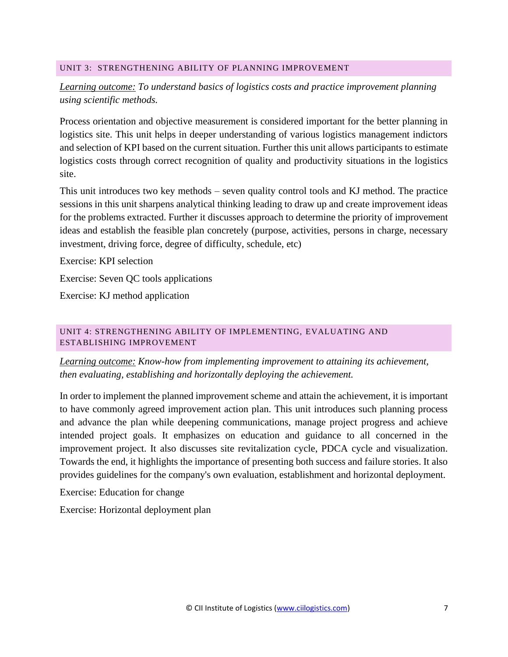#### <span id="page-7-0"></span>UNIT 3: STRENGTHENING ABILITY OF PLANNING IMPROVEMENT

# *Learning outcome: To understand basics of logistics costs and practice improvement planning using scientific methods.*

Process orientation and objective measurement is considered important for the better planning in logistics site. This unit helps in deeper understanding of various logistics management indictors and selection of KPI based on the current situation. Further this unit allows participants to estimate logistics costs through correct recognition of quality and productivity situations in the logistics site.

This unit introduces two key methods – seven quality control tools and KJ method. The practice sessions in this unit sharpens analytical thinking leading to draw up and create improvement ideas for the problems extracted. Further it discusses approach to determine the priority of improvement ideas and establish the feasible plan concretely (purpose, activities, persons in charge, necessary investment, driving force, degree of difficulty, schedule, etc)

Exercise: KPI selection

Exercise: Seven QC tools applications

Exercise: KJ method application

#### <span id="page-7-1"></span>UNIT 4: STRENGTHENING ABILITY OF IMPLEMENTING, EVALUATING AND ESTABLISHING IMPROVEMENT

*Learning outcome: Know-how from implementing improvement to attaining its achievement, then evaluating, establishing and horizontally deploying the achievement.*

In order to implement the planned improvement scheme and attain the achievement, it is important to have commonly agreed improvement action plan. This unit introduces such planning process and advance the plan while deepening communications, manage project progress and achieve intended project goals. It emphasizes on education and guidance to all concerned in the improvement project. It also discusses site revitalization cycle, PDCA cycle and visualization. Towards the end, it highlights the importance of presenting both success and failure stories. It also provides guidelines for the company's own evaluation, establishment and horizontal deployment.

Exercise: Education for change

Exercise: Horizontal deployment plan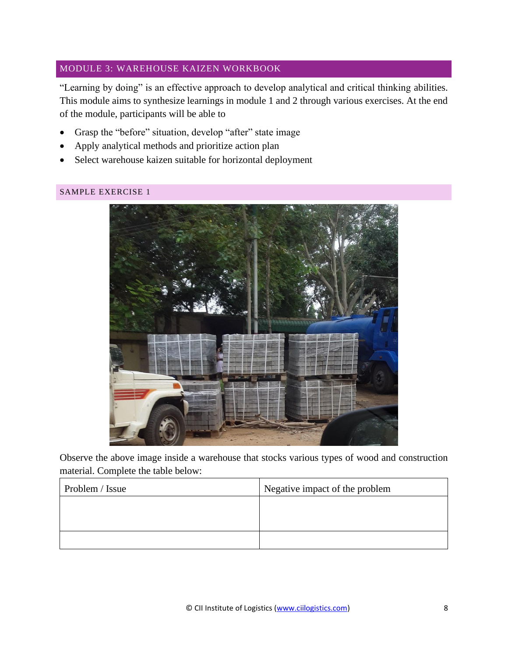# <span id="page-8-0"></span>MODULE 3: WAREHOUSE KAIZEN WORKBOOK

"Learning by doing" is an effective approach to develop analytical and critical thinking abilities. This module aims to synthesize learnings in module 1 and 2 through various exercises. At the end of the module, participants will be able to

- Grasp the "before" situation, develop "after" state image
- Apply analytical methods and prioritize action plan
- Select warehouse kaizen suitable for horizontal deployment

#### <span id="page-8-1"></span>SAMPLE EXERCISE 1



Observe the above image inside a warehouse that stocks various types of wood and construction material. Complete the table below:

| Problem / Issue | Negative impact of the problem |
|-----------------|--------------------------------|
|                 |                                |
|                 |                                |
|                 |                                |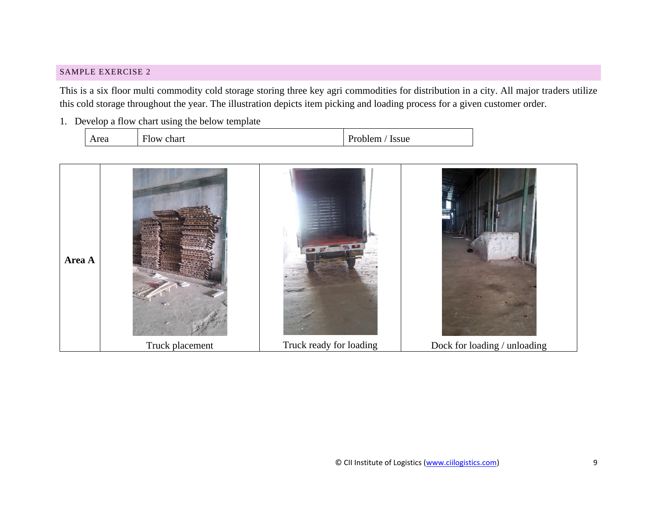#### SAMPLE EXERCISE 2

This is a six floor multi commodity cold storage storing three key agri commodities for distribution in a city. All major traders utilize this cold storage throughout the year. The illustration depicts item picking and loading process for a given customer order.

1. Develop a flow chart using the below template

| Area | $\sim$<br><b>Flow</b><br>chart<br>$- - - - - -$ | Issue<br>Problem.<br>. .<br>. |
|------|-------------------------------------------------|-------------------------------|
|------|-------------------------------------------------|-------------------------------|

<span id="page-9-0"></span>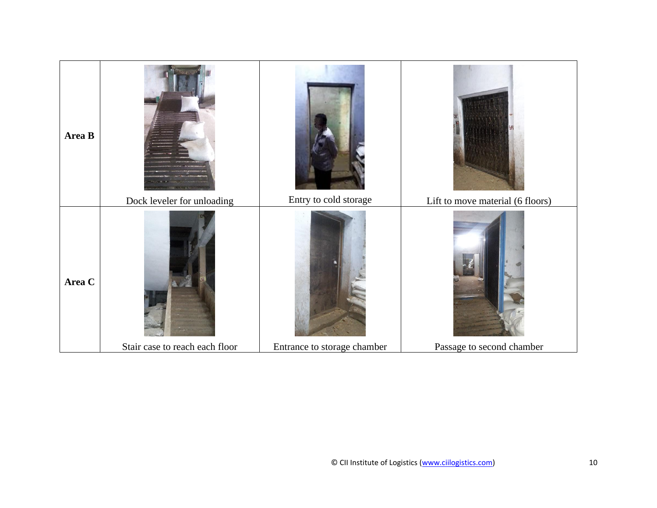| Area B | Dock leveler for unloading     | Entry to cold storage       | Lift to move material (6 floors) |
|--------|--------------------------------|-----------------------------|----------------------------------|
| Area C | Stair case to reach each floor | Entrance to storage chamber | Passage to second chamber        |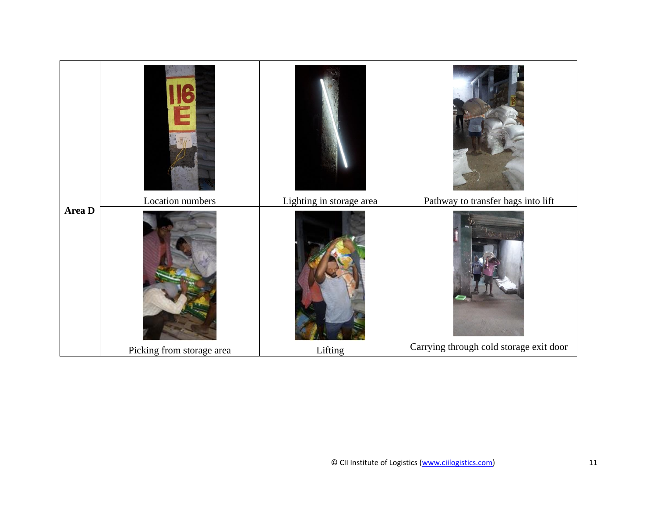|        | $\bullet$<br>È<br>f(x)<br>Location numbers | Lighting in storage area | Pathway to transfer bags into lift      |
|--------|--------------------------------------------|--------------------------|-----------------------------------------|
| Area D |                                            |                          |                                         |
|        | Picking from storage area                  | Lifting                  | Carrying through cold storage exit door |